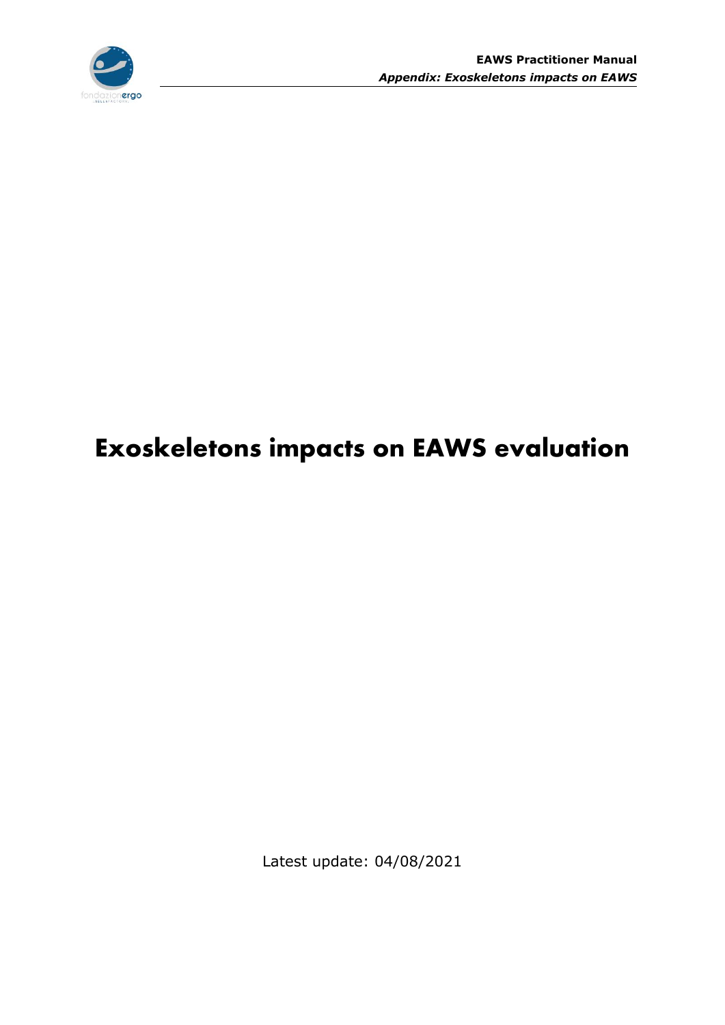

# **Exoskeletons impacts on EAWS evaluation**

Latest update: 04/08/2021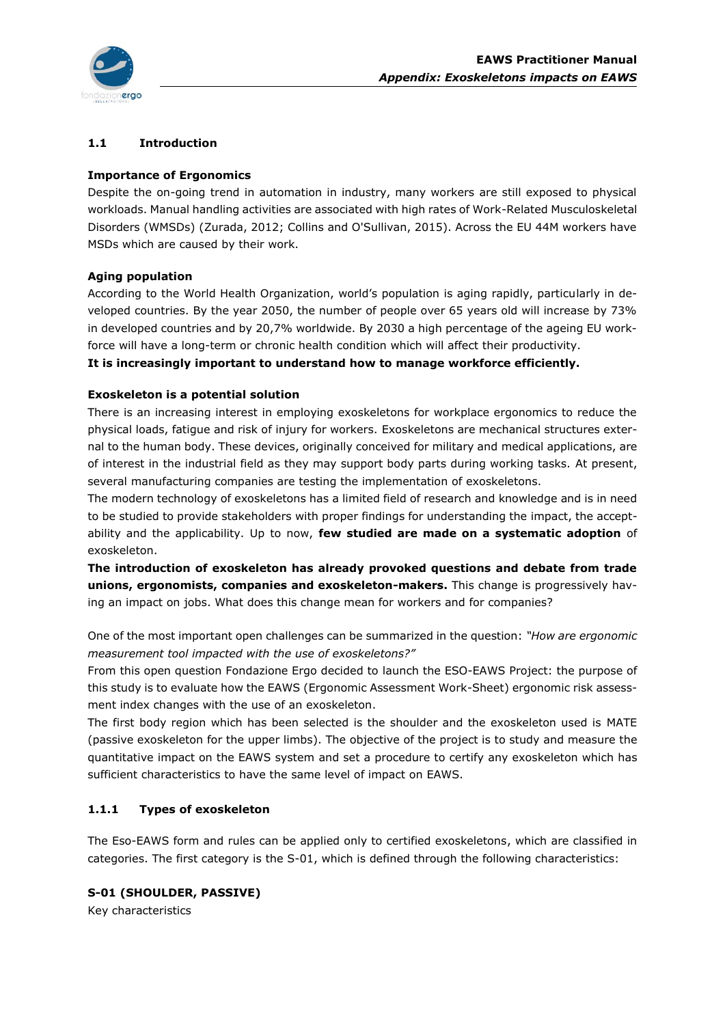

## **1.1 Introduction**

## **Importance of Ergonomics**

Despite the on-going trend in automation in industry, many workers are still exposed to physical workloads. Manual handling activities are associated with high rates of Work-Related Musculoskeletal Disorders (WMSDs) (Zurada, 2012; Collins and O'Sullivan, 2015). Across the EU 44M workers have MSDs which are caused by their work.

## **Aging population**

According to the World Health Organization, world's population is aging rapidly, particularly in developed countries. By the year 2050, the number of people over 65 years old will increase by 73% in developed countries and by 20,7% worldwide. By 2030 a high percentage of the ageing EU workforce will have a long-term or chronic health condition which will affect their productivity.

**It is increasingly important to understand how to manage workforce efficiently.** 

## **Exoskeleton is a potential solution**

There is an increasing interest in employing exoskeletons for workplace ergonomics to reduce the physical loads, fatigue and risk of injury for workers. Exoskeletons are mechanical structures external to the human body. These devices, originally conceived for military and medical applications, are of interest in the industrial field as they may support body parts during working tasks. At present, several manufacturing companies are testing the implementation of exoskeletons.

The modern technology of exoskeletons has a limited field of research and knowledge and is in need to be studied to provide stakeholders with proper findings for understanding the impact, the acceptability and the applicability. Up to now, **few studied are made on a systematic adoption** of exoskeleton.

**The introduction of exoskeleton has already provoked questions and debate from trade unions, ergonomists, companies and exoskeleton-makers.** This change is progressively having an impact on jobs. What does this change mean for workers and for companies?

One of the most important open challenges can be summarized in the question: *"How are ergonomic measurement tool impacted with the use of exoskeletons?"*

From this open question Fondazione Ergo decided to launch the ESO-EAWS Project: the purpose of this study is to evaluate how the EAWS (Ergonomic Assessment Work-Sheet) ergonomic risk assessment index changes with the use of an exoskeleton.

The first body region which has been selected is the shoulder and the exoskeleton used is MATE (passive exoskeleton for the upper limbs). The objective of the project is to study and measure the quantitative impact on the EAWS system and set a procedure to certify any exoskeleton which has sufficient characteristics to have the same level of impact on EAWS.

# **1.1.1 Types of exoskeleton**

The Eso-EAWS form and rules can be applied only to certified exoskeletons, which are classified in categories. The first category is the S-01, which is defined through the following characteristics:

## **S-01 (SHOULDER, PASSIVE)**

Key characteristics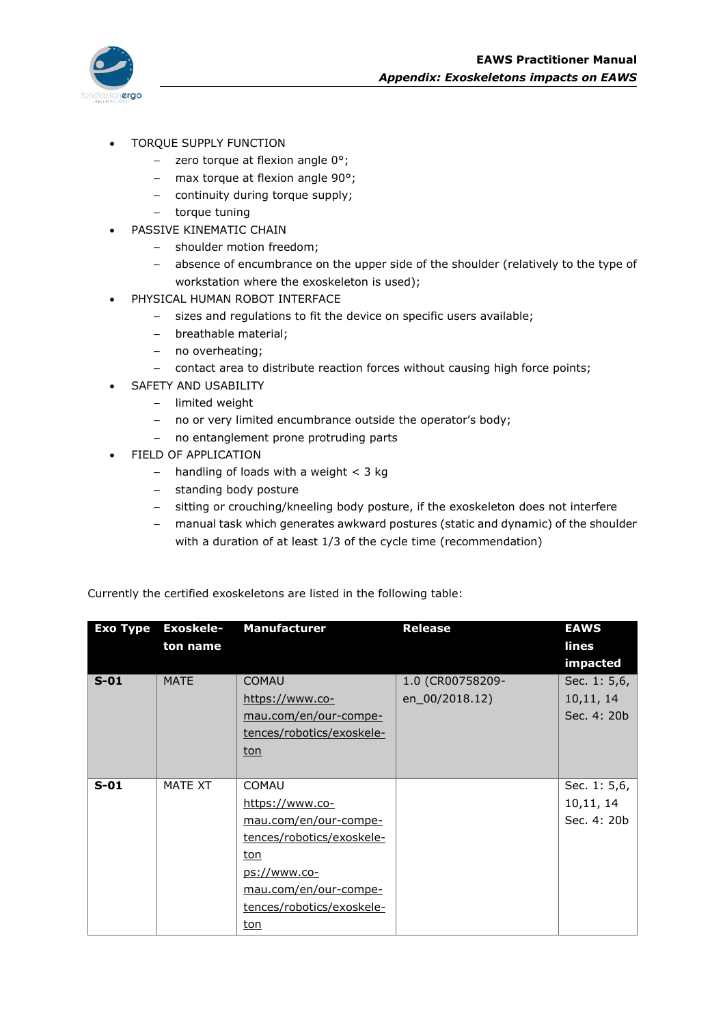- TORQUE SUPPLY FUNCTION
	- $-$  zero torque at flexion angle  $0^{\circ}$ ;
	- max torque at flexion angle  $90^\circ$ ;
	- continuity during torque supply;
	- torque tuning
	- PASSIVE KINEMATIC CHAIN
		- shoulder motion freedom;
		- absence of encumbrance on the upper side of the shoulder (relatively to the type of workstation where the exoskeleton is used);
- PHYSICAL HUMAN ROBOT INTERFACE
	- sizes and regulations to fit the device on specific users available;
	- breathable material;
	- no overheating;
	- contact area to distribute reaction forces without causing high force points;
- SAFETY AND USABILITY
	- limited weight
	- no or very limited encumbrance outside the operator's body;
	- no entanglement prone protruding parts
- FIELD OF APPLICATION
	- $-$  handling of loads with a weight < 3 kg
	- standing body posture
	- sitting or crouching/kneeling body posture, if the exoskeleton does not interfere
	- manual task which generates awkward postures (static and dynamic) of the shoulder with a duration of at least 1/3 of the cycle time (recommendation)

| <b>Exo Type</b> | <b>Exoskele-</b> | <b>Manufacturer</b>       | <b>Release</b>   | <b>EAWS</b>  |
|-----------------|------------------|---------------------------|------------------|--------------|
|                 | ton name         |                           |                  | lines        |
|                 |                  |                           |                  | impacted     |
| $S-01$          | <b>MATE</b>      | <b>COMAU</b>              | 1.0 (CR00758209- | Sec. 1: 5,6, |
|                 |                  | https://www.co-           | en_00/2018.12)   | 10, 11, 14   |
|                 |                  | mau.com/en/our-compe-     |                  | Sec. 4: 20b  |
|                 |                  | tences/robotics/exoskele- |                  |              |
|                 |                  | ton                       |                  |              |
|                 |                  |                           |                  |              |
| $S-01$          | MATE XT          | <b>COMAU</b>              |                  | Sec. 1: 5,6, |
|                 |                  | https://www.co-           |                  | 10,11, 14    |
|                 |                  | mau.com/en/our-compe-     |                  | Sec. 4: 20b  |
|                 |                  | tences/robotics/exoskele- |                  |              |
|                 |                  | ton                       |                  |              |
|                 |                  | ps://www.co-              |                  |              |
|                 |                  | mau.com/en/our-compe-     |                  |              |
|                 |                  | tences/robotics/exoskele- |                  |              |
|                 |                  | ton                       |                  |              |

Currently the certified exoskeletons are listed in the following table: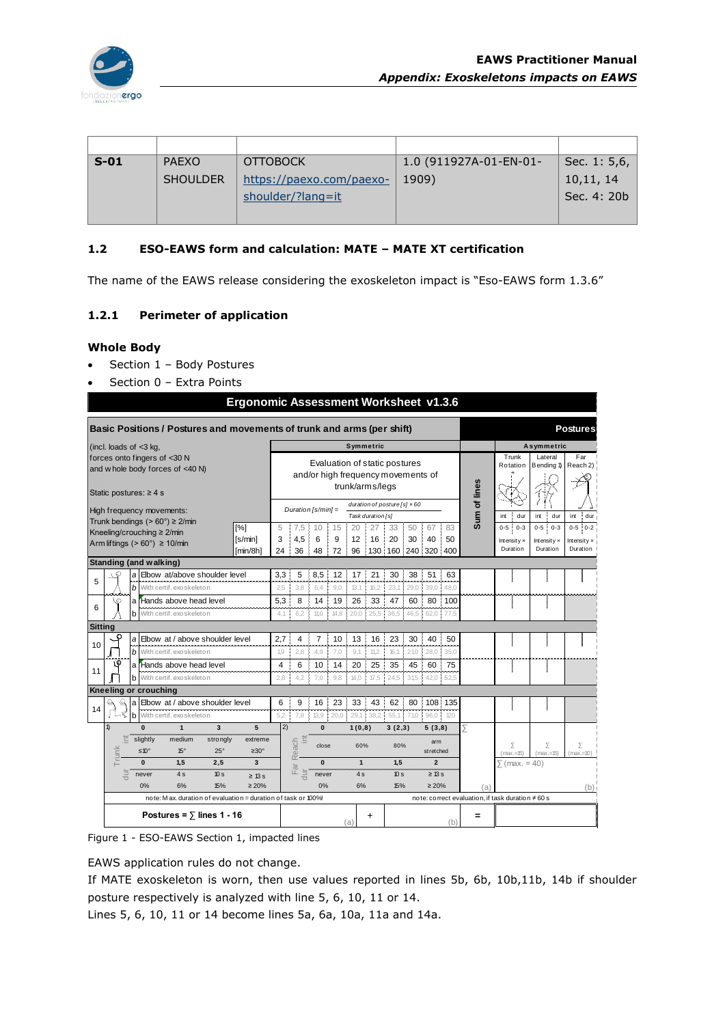

| $S-01$ | <b>PAEXO</b>    | <b>OTTOBOCK</b>          | 1.0 (911927A-01-EN-01- | Sec. 1: 5,6, |
|--------|-----------------|--------------------------|------------------------|--------------|
|        | <b>SHOULDER</b> | https://paexo.com/paexo- | 1909)                  | 10,11, 14    |
|        |                 | shoulder/?lang=it        |                        | Sec. 4: 20b  |
|        |                 |                          |                        |              |

## **1.2 ESO-EAWS form and calculation: MATE – MATE XT certification**

The name of the EAWS release considering the exoskeleton impact is "Eso-EAWS form 1.3.6"

#### **1.2.1 Perimeter of application**

#### **Whole Body**

- Section 1 Body Postures
- Section 0 Extra Points

|                |                               |                                                                                                                |  |                                                        |                         | <b>Ergonomic Assessment Worksheet v1.3.6</b>                           |            |                      |            |        |              |                   |                                     |            |                  |            |              |                                                  |                      |                      |
|----------------|-------------------------------|----------------------------------------------------------------------------------------------------------------|--|--------------------------------------------------------|-------------------------|------------------------------------------------------------------------|------------|----------------------|------------|--------|--------------|-------------------|-------------------------------------|------------|------------------|------------|--------------|--------------------------------------------------|----------------------|----------------------|
|                |                               |                                                                                                                |  |                                                        |                         | Basic Positions / Postures and movements of trunk and arms (per shift) |            |                      |            |        |              |                   |                                     |            |                  |            |              |                                                  |                      | <b>Postures</b>      |
|                | (incl. loads of $<$ 3 kg,     |                                                                                                                |  |                                                        |                         |                                                                        |            |                      |            |        |              | Symmetric         |                                     |            |                  |            |              |                                                  | Asymmetric           |                      |
|                |                               |                                                                                                                |  | forces onto fingers of <30 N                           |                         |                                                                        |            |                      |            |        |              |                   | Evaluation of static postures       |            |                  |            |              | Trunk<br>Rotation                                | Lateral              | Far<br>Reach 2)      |
|                |                               |                                                                                                                |  | and w hole body forces of <40 N)                       |                         |                                                                        |            |                      |            |        |              |                   | and/or high frequency movements of  |            |                  |            |              |                                                  | Bending 1)           |                      |
|                | Static postures: ≥ 4 s        |                                                                                                                |  |                                                        |                         |                                                                        |            |                      |            |        |              | trunk/arms/legs   |                                     |            |                  |            |              |                                                  |                      |                      |
|                |                               |                                                                                                                |  |                                                        |                         |                                                                        |            |                      |            |        |              |                   | duration of posture [s] $\times 60$ |            |                  |            | Sum of lines |                                                  |                      |                      |
|                |                               |                                                                                                                |  | High frequency movements:                              |                         |                                                                        |            | Duration $[s/min] =$ |            |        |              | Task duration [s] |                                     |            |                  |            |              | dur<br>int                                       | int<br>dur           | dur<br>int           |
|                | Kneeling/crouching ≥ 2/min    |                                                                                                                |  | Trunk bendings ( $> 60^\circ$ ) $\geq 2$ /min          |                         | [%]                                                                    | 5          | 7.5                  | 10         | 15     | 20           | 27                | 33                                  | 50         | 67               | 83         |              | $0 - 3$<br>$0 - 5$                               | $0 - 5$ [<br>$0 - 3$ | $: 0 - 2$<br>$0 - 5$ |
|                |                               |                                                                                                                |  | Arm liftings ( $> 60^\circ$ ) $\geq 10$ /min           |                         | [s/min]                                                                | 3          | 4.5                  | 6          | 9      | 12           | 16                | 20                                  | 30         | 40               | 50         |              | Intensity $\times$                               | Intensity x          | Intensity $\times$   |
|                |                               |                                                                                                                |  |                                                        |                         | [min/8h]                                                               | 24         | 36                   | 48         | 72     | 96           | 130 160           |                                     |            | 240 320          | 400        |              | Duration                                         | Duration             | Duration             |
|                | <b>Standing (and walking)</b> |                                                                                                                |  |                                                        |                         |                                                                        |            |                      |            | 12     |              |                   | 30                                  |            | 51               |            |              |                                                  |                      |                      |
| 5              | S                             | a<br>b                                                                                                         |  | Elbow at/above shoulder level                          |                         |                                                                        | 3,3<br>2,5 | 5<br>3.8             | 8,5<br>6.4 | 9.0    | 17<br>13,1   | 21<br>16.2        | 23,1                                | 38<br>29,0 | 39,0             | 63<br>48.0 |              |                                                  |                      |                      |
|                | \€                            |                                                                                                                |  | With certif. exoskeleton<br>a l'Hands above head level |                         |                                                                        | 5,3        | 8                    | 14         | 19     | 26           | 33                | 47                                  | 60         | 80               | 100        |              |                                                  |                      |                      |
| 6              |                               |                                                                                                                |  | <b>b</b> With certif. exoskeleton                      |                         |                                                                        | 4,1        | 6.2                  | 11,0       | 14.8   | 20.0         | 25,5              | 36,5                                | 46,5       | 62.0             | 77.5       |              |                                                  |                      |                      |
| <b>Sitting</b> |                               |                                                                                                                |  |                                                        |                         |                                                                        |            |                      |            |        |              |                   |                                     |            |                  |            |              |                                                  |                      |                      |
|                | C                             | a                                                                                                              |  | Elbow at / above shoulder level                        |                         |                                                                        | 2,7        | 4                    | 7          | 10     | 13           | 16                | 23                                  | 30         | 40               | 50         |              |                                                  |                      |                      |
| 10             |                               |                                                                                                                |  | b With certif. exoskeleton                             |                         |                                                                        | 1,9        | 2.8                  | 4.9        | 7.0    | 9.1          | 11.2              | 16.1                                | 21.0       | 28.0             | 35.0       |              |                                                  |                      |                      |
|                | ι٥                            |                                                                                                                |  | a l'Hands above head level                             |                         |                                                                        | 4          | 6                    | 10         | 14     | 20           | 25                | 35                                  | 45         | 60               | 75         |              |                                                  |                      |                      |
| 11             |                               |                                                                                                                |  | <b>b</b> With certif. exoskeleton                      |                         |                                                                        | 2,8        | 4.2                  | 7.0        | 9,8    | 14,0         | 17,5              | 24.5                                | 31,5       | 42.0             | 52.5       |              |                                                  |                      |                      |
|                | Kneeling or crouching         |                                                                                                                |  |                                                        |                         |                                                                        |            |                      |            |        |              |                   |                                     |            |                  |            |              |                                                  |                      |                      |
| 14             | Q<br>$\mathcal{Q}$            |                                                                                                                |  | a Elbow at / above shoulder level                      |                         |                                                                        | 6          | 9                    | 16         | 23     | 33           | 43                | 62                                  | 80<br>Î,   |                  | 108 135    |              |                                                  |                      |                      |
|                |                               | b                                                                                                              |  | With certif. exoskeleton                               | $\overline{\mathbf{3}}$ |                                                                        | 5,2        | 7.8                  | 13,9       | 20,0   | 29,1         | 38.2              | 55,1                                | 71.0       | 96,0             | 120        |              |                                                  |                      |                      |
|                | $\mathbf{D}$                  | $\bf{0}$                                                                                                       |  | $\mathbf{1}$                                           | 5                       | $\overline{2}$                                                         |            | $\mathbf{0}$         |            | 1(0,8) |              | 3(2,3)            |                                     | 5(3,8)     |                  | ⋝          |              |                                                  |                      |                      |
|                |                               | t<br>slightly<br>medium<br>strongly<br>extreme<br>Trunk<br>≤10°<br>$15^\circ$<br>$25^\circ$<br>$\geq 30^\circ$ |  |                                                        |                         |                                                                        |            | 三<br>each            | close      |        | 60%          |                   | 80%                                 |            | arm<br>stretched |            |              | Σ<br>$(max = 15)$                                | Σ<br>$(max=15)$      | Σ<br>$(max=10)$      |
|                |                               | $\mathbf{0}$                                                                                                   |  | 1.5                                                    | 2,5                     | 3                                                                      |            | $\alpha$<br>ಹ        | $\bf{0}$   |        | $\mathbf{1}$ |                   | 1.5                                 |            | $\overline{2}$   |            |              | $\sqrt{$ (max. = 40)                             |                      |                      |
|                |                               | dur<br>never                                                                                                   |  | 4s                                                     | 10 <sub>s</sub>         | $\geq$ 13 s                                                            |            | jur<br>뜨             | never      |        | 4 s          |                   | 10 <sub>s</sub>                     |            | $\geq$ 13 s      |            |              |                                                  |                      |                      |
|                |                               | 0%                                                                                                             |  | 6%                                                     | 15%                     | $\geq 20\%$                                                            |            |                      | 0%         |        | 6%           |                   | 15%                                 |            | $\geq 20\%$      |            | (a)          |                                                  |                      | (b)                  |
|                |                               |                                                                                                                |  |                                                        |                         | note: M ax, duration of evaluation = duration of task or 100%!         |            |                      |            |        |              |                   |                                     |            |                  |            |              | note: correct evaluation, if task duration ≠60 s |                      |                      |
|                |                               |                                                                                                                |  | Postures = $\overline{ }$ lines 1 - 16                 |                         |                                                                        |            |                      |            | (a)    | +            |                   |                                     |            | (b)              | =          |              |                                                  |                      |                      |
|                |                               |                                                                                                                |  |                                                        |                         |                                                                        |            |                      |            |        |              |                   |                                     |            |                  |            |              |                                                  |                      |                      |

Figure 1 - ESO-EAWS Section 1, impacted lines

EAWS application rules do not change.

If MATE exoskeleton is worn, then use values reported in lines 5b, 6b, 10b,11b, 14b if shoulder posture respectively is analyzed with line 5, 6, 10, 11 or 14.

Lines 5, 6, 10, 11 or 14 become lines 5a, 6a, 10a, 11a and 14a.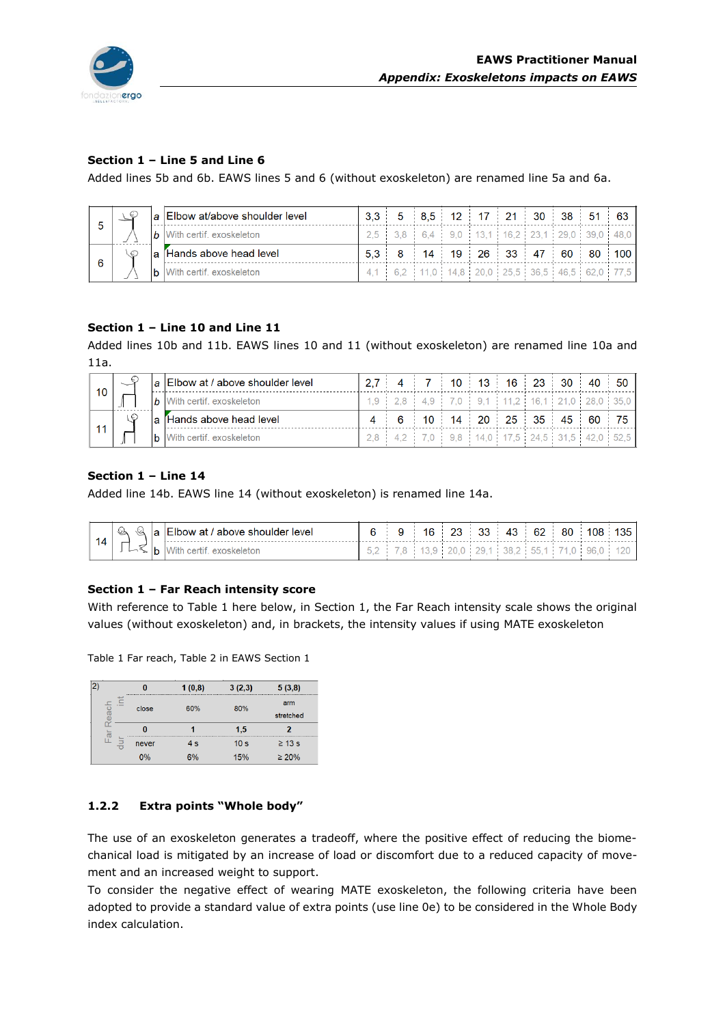

# **Section 1 – Line 5 and Line 6**

Added lines 5b and 6b. EAWS lines 5 and 6 (without exoskeleton) are renamed line 5a and 6a.

|     |  | <u>la IElbow at/above shoulder level</u> |  | $3.3$ 5 8.5 12 17 21 30 38 51 63 |  |  |  |                                                 |
|-----|--|------------------------------------------|--|----------------------------------|--|--|--|-------------------------------------------------|
|     |  | $\vert b \vert$ With certif, exoskeleton |  |                                  |  |  |  | $2,5$ 3,8 6,4 9,0 13,1 16,2 23,1 29,0 39,0 48,0 |
| - 6 |  | a Hands above head level                 |  | $5,3$ 8 14 19 26 33 47 60 80 100 |  |  |  |                                                 |
|     |  | <b>b</b> With certif, exoskeleton        |  |                                  |  |  |  | 4.1 6.2 11.0 14.8 20.0 25.5 36.5 46.5 62.0 77.5 |

## **Section 1 – Line 10 and Line 11**

Added lines 10b and 11b. EAWS lines 10 and 11 (without exoskeleton) are renamed line 10a and 11a.

| 10 |  | $ a $ Elbow at / above shoulder level    |  | $2.7$ 4 7 10 13 16 23 30 40 50 |  |  |  |                                                                   |
|----|--|------------------------------------------|--|--------------------------------|--|--|--|-------------------------------------------------------------------|
|    |  | $\vert b \vert$ With certif, exoskeleton |  |                                |  |  |  | 1.9 2.8 4.9 7.0 9.1 11.2 16.1 21.0 28.0 35.0                      |
|    |  | a Hands above head level                 |  | 4 6 10 14 20 25 35 45 60 75    |  |  |  |                                                                   |
| 11 |  | <b>b</b> With certif, exoskeleton        |  |                                |  |  |  | $2.8$   4.2   7.0   9.8   14.0   17.5   24.5   31.5   42.0   52.5 |

## **Section 1 – Line 14**

Added line 14b. EAWS line 14 (without exoskeleton) is renamed line 14a.

| 14 | $\mathbb{Q} \otimes \mathbb{Q}$ a Elbow at / above shoulder level |  |  |  |  | $6$   9   16   23   33   43   62   80   108   135 |  |
|----|-------------------------------------------------------------------|--|--|--|--|---------------------------------------------------|--|
|    | b With certif. exoskeleton                                        |  |  |  |  | $5,2$ 7,8 13,9 20,0 29,1 38,2 55,1 71,0 96,0 120  |  |

## **Section 1 – Far Reach intensity score**

With reference to [Table 1](#page-4-0) here below, in Section 1, the Far Reach intensity scale shows the original values (without exoskeleton) and, in brackets, the intensity values if using MATE exoskeleton

<span id="page-4-0"></span>Table 1 Far reach, Table 2 in EAWS Section 1

| 2) |      | 0     | 1(0,8) | 3(2,3)          | 5(3,8)           |
|----|------|-------|--------|-----------------|------------------|
|    | each | close | 60%    | 80%             | arm<br>stretched |
|    | ī6 − | 0     |        | 1,5             | 2                |
|    | 킁    | never | 4s     | 10 <sub>s</sub> | $\geq 13$ s      |
|    |      | 0%    | 6%     | 15%             | $\geq 20\%$      |

# **1.2.2 Extra points "Whole body"**

The use of an exoskeleton generates a tradeoff, where the positive effect of reducing the biomechanical load is mitigated by an increase of load or discomfort due to a reduced capacity of movement and an increased weight to support.

To consider the negative effect of wearing MATE exoskeleton, the following criteria have been adopted to provide a standard value of extra points (use line 0e) to be considered in the Whole Body index calculation.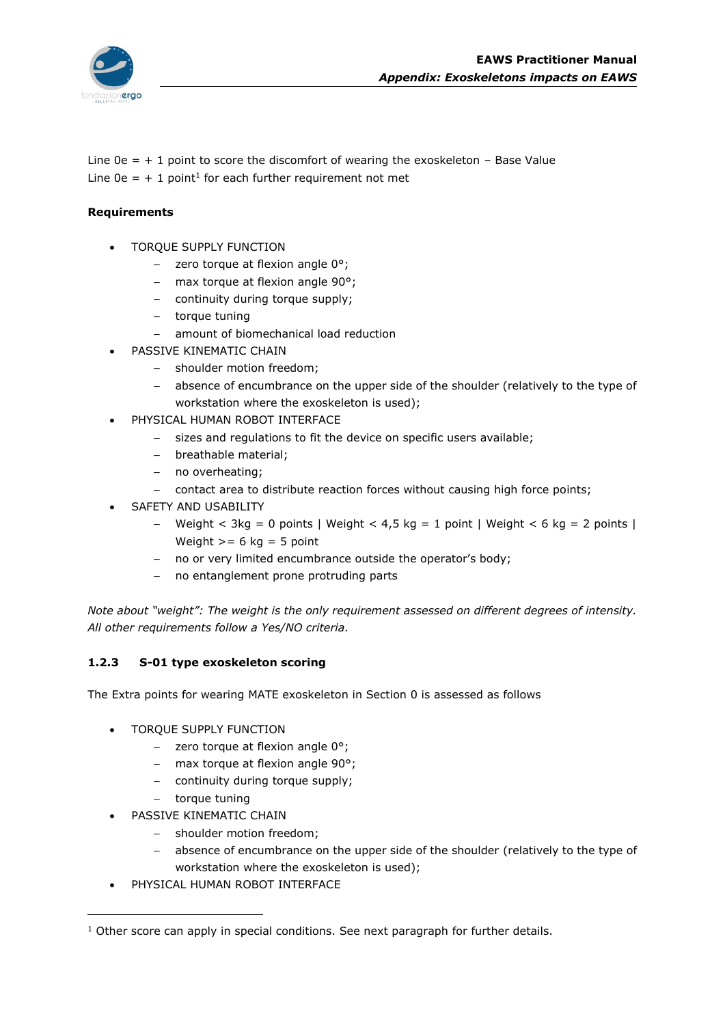

Line  $0e = +1$  point to score the discomfort of wearing the exoskeleton – Base Value Line  $0e = + 1$  point<sup>1</sup> for each further requirement not met

## **Requirements**

- TORQUE SUPPLY FUNCTION
	- $-$  zero torque at flexion angle  $0^{\circ}$ ;
	- max torque at flexion angle 90°;
	- continuity during torque supply;
	- torque tuning
	- amount of biomechanical load reduction
- PASSIVE KINEMATIC CHAIN
	- shoulder motion freedom;
	- absence of encumbrance on the upper side of the shoulder (relatively to the type of workstation where the exoskeleton is used);
- PHYSICAL HUMAN ROBOT INTERFACE
	- sizes and regulations to fit the device on specific users available;
	- breathable material;
	- no overheating;
	- contact area to distribute reaction forces without causing high force points;
- SAFETY AND USABILITY
	- Weight < 3kg = 0 points | Weight < 4,5 kg = 1 point | Weight < 6 kg = 2 points | Weight  $>= 6$  kg = 5 point
	- no or very limited encumbrance outside the operator's body;
	- no entanglement prone protruding parts

*Note about "weight": The weight is the only requirement assessed on different degrees of intensity. All other requirements follow a Yes/NO criteria.*

## **1.2.3 S-01 type exoskeleton scoring**

The Extra points for wearing MATE exoskeleton in Section 0 is assessed as follows

- TORQUE SUPPLY FUNCTION
	- $-$  zero torque at flexion angle  $0^{\circ}$ ;
	- max torque at flexion angle  $90^\circ$ ;
	- continuity during torque supply;
	- torque tuning
- PASSIVE KINEMATIC CHAIN
	- shoulder motion freedom;
	- absence of encumbrance on the upper side of the shoulder (relatively to the type of workstation where the exoskeleton is used);
- PHYSICAL HUMAN ROBOT INTERFACE

 $<sup>1</sup>$  Other score can apply in special conditions. See next paragraph for further details.</sup>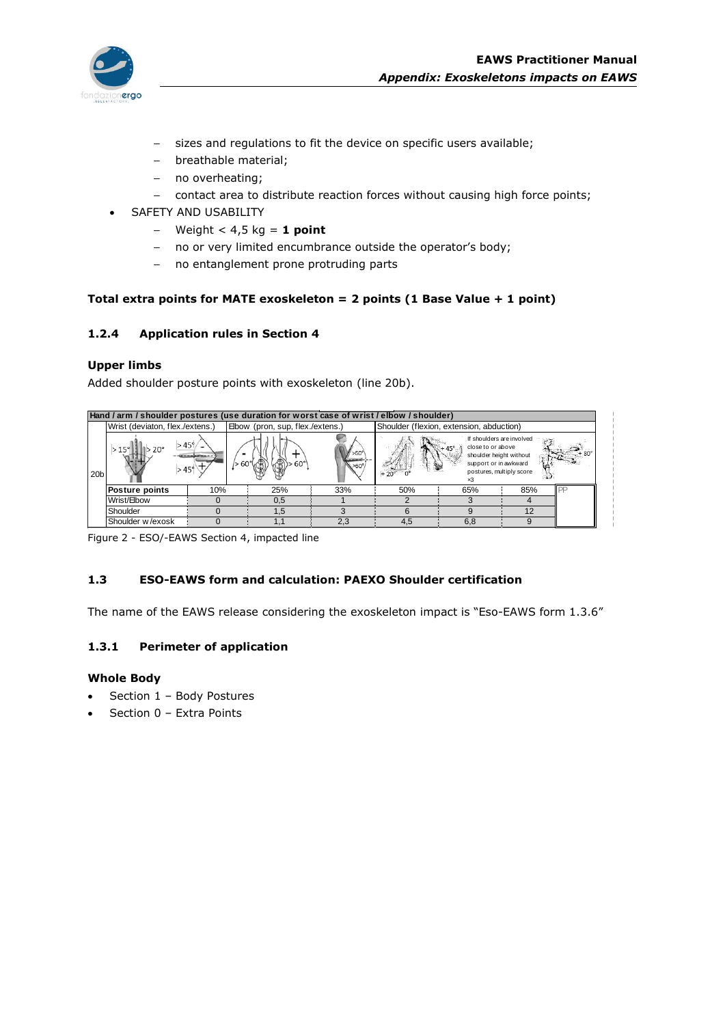

- sizes and regulations to fit the device on specific users available;
- breathable material;
- no overheating;
- contact area to distribute reaction forces without causing high force points;
- SAFETY AND USABILITY
	- Weight < 4,5 kg = **1 point**
	- no or very limited encumbrance outside the operator's body;
	- no entanglement prone protruding parts

## **Total extra points for MATE exoskeleton = 2 points (1 Base Value + 1 point)**

#### **1.2.4 Application rules in Section 4**

#### **Upper limbs**

|                 | Added shoulder posture points with exoskeleton (line 20b).                               |                      |                                  |     |     |                                                                                                                                              |     |  |
|-----------------|------------------------------------------------------------------------------------------|----------------------|----------------------------------|-----|-----|----------------------------------------------------------------------------------------------------------------------------------------------|-----|--|
|                 | Hand / arm / shoulder postures (use duration for worst case of wrist / elbow / shoulder) |                      |                                  |     |     |                                                                                                                                              |     |  |
|                 | Wrist (deviaton, flex./extens.)                                                          |                      | Elbow (pron, sup, flex./extens.) |     |     | Shoulder (flexion, extension, abduction)                                                                                                     |     |  |
| 20 <sub>b</sub> | $>45^\circ$<br>$>15^\circ$<br>$>45^\circ$                                                | $\approx 60^{\circ}$ |                                  | >60 |     | If shoulders are involved<br>close to or above<br>shoulder height without<br>support or in awkward<br>postures, multiply score<br>$\times$ 3 |     |  |
|                 | <b>Posture points</b>                                                                    | 10%                  | 25%                              | 33% | 50% | 65%                                                                                                                                          | 85% |  |
|                 | Wrist/Elbow                                                                              |                      | 0,5                              |     |     |                                                                                                                                              |     |  |
|                 | Shoulder                                                                                 |                      | 1,5                              |     | 6   | 9                                                                                                                                            | 12  |  |
|                 | Shoulder w/exosk                                                                         |                      |                                  | 2,3 | 4,5 | 6,8                                                                                                                                          | 9   |  |

Figure 2 - ESO/-EAWS Section 4, impacted line

# **1.3 ESO-EAWS form and calculation: PAEXO Shoulder certification**

The name of the EAWS release considering the exoskeleton impact is "Eso-EAWS form 1.3.6"

# **1.3.1 Perimeter of application**

## **Whole Body**

- Section 1 Body Postures
- Section 0 Extra Points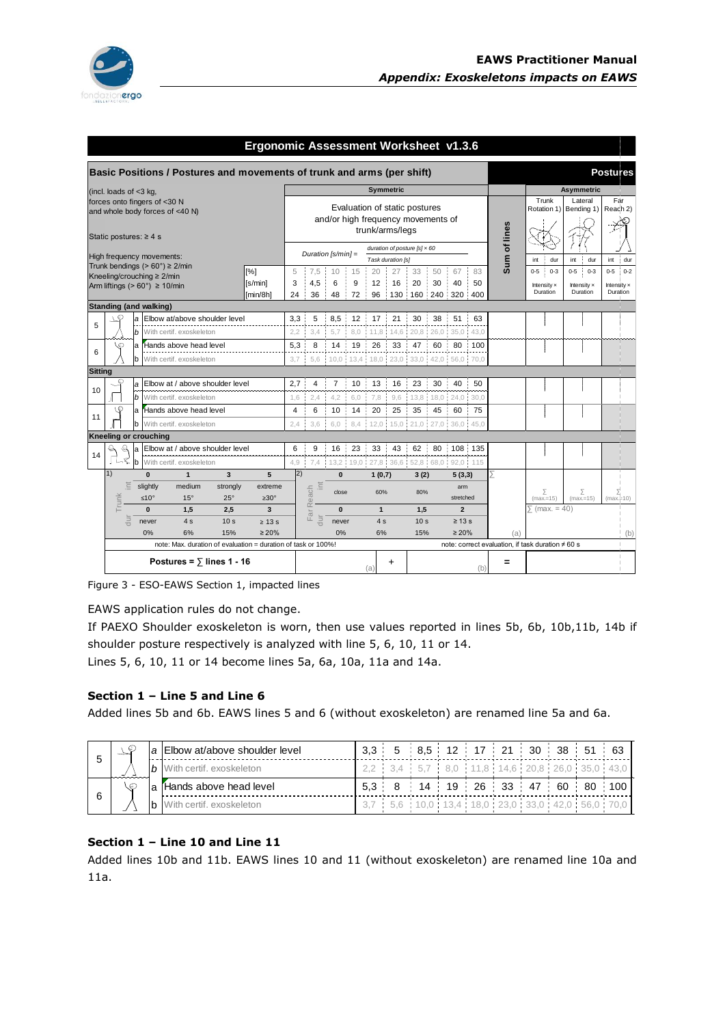

|    |                                                                                                                                                                                                                                                                                                                                                                                                                                                                                                                                                                                                                                                                                                                                                                                                                                                                                                                                                                                                                                                                                                                                                                                                                                                                                                                                                                                                                                                                                                                                                                                                                                                                                                                                                                                                                                                                                                                                                                                                                                                                                                                                                                                                                                                                                                                                                                                                                                                                                                                                                                                                                                                                                                                                                                                                                                                                                                                                                                                                                                                                                                                                                                                                    |  |  |         |  |  |                         |  |  |  |  | Trunk | Lateral | Far        |
|----|----------------------------------------------------------------------------------------------------------------------------------------------------------------------------------------------------------------------------------------------------------------------------------------------------------------------------------------------------------------------------------------------------------------------------------------------------------------------------------------------------------------------------------------------------------------------------------------------------------------------------------------------------------------------------------------------------------------------------------------------------------------------------------------------------------------------------------------------------------------------------------------------------------------------------------------------------------------------------------------------------------------------------------------------------------------------------------------------------------------------------------------------------------------------------------------------------------------------------------------------------------------------------------------------------------------------------------------------------------------------------------------------------------------------------------------------------------------------------------------------------------------------------------------------------------------------------------------------------------------------------------------------------------------------------------------------------------------------------------------------------------------------------------------------------------------------------------------------------------------------------------------------------------------------------------------------------------------------------------------------------------------------------------------------------------------------------------------------------------------------------------------------------------------------------------------------------------------------------------------------------------------------------------------------------------------------------------------------------------------------------------------------------------------------------------------------------------------------------------------------------------------------------------------------------------------------------------------------------------------------------------------------------------------------------------------------------------------------------------------------------------------------------------------------------------------------------------------------------------------------------------------------------------------------------------------------------------------------------------------------------------------------------------------------------------------------------------------------------------------------------------------------------------------------------------------------------|--|--|---------|--|--|-------------------------|--|--|--|--|-------|---------|------------|
|    |                                                                                                                                                                                                                                                                                                                                                                                                                                                                                                                                                                                                                                                                                                                                                                                                                                                                                                                                                                                                                                                                                                                                                                                                                                                                                                                                                                                                                                                                                                                                                                                                                                                                                                                                                                                                                                                                                                                                                                                                                                                                                                                                                                                                                                                                                                                                                                                                                                                                                                                                                                                                                                                                                                                                                                                                                                                                                                                                                                                                                                                                                                                                                                                                    |  |  |         |  |  |                         |  |  |  |  |       |         |            |
|    |                                                                                                                                                                                                                                                                                                                                                                                                                                                                                                                                                                                                                                                                                                                                                                                                                                                                                                                                                                                                                                                                                                                                                                                                                                                                                                                                                                                                                                                                                                                                                                                                                                                                                                                                                                                                                                                                                                                                                                                                                                                                                                                                                                                                                                                                                                                                                                                                                                                                                                                                                                                                                                                                                                                                                                                                                                                                                                                                                                                                                                                                                                                                                                                                    |  |  |         |  |  |                         |  |  |  |  |       |         |            |
|    |                                                                                                                                                                                                                                                                                                                                                                                                                                                                                                                                                                                                                                                                                                                                                                                                                                                                                                                                                                                                                                                                                                                                                                                                                                                                                                                                                                                                                                                                                                                                                                                                                                                                                                                                                                                                                                                                                                                                                                                                                                                                                                                                                                                                                                                                                                                                                                                                                                                                                                                                                                                                                                                                                                                                                                                                                                                                                                                                                                                                                                                                                                                                                                                                    |  |  |         |  |  |                         |  |  |  |  |       |         |            |
|    |                                                                                                                                                                                                                                                                                                                                                                                                                                                                                                                                                                                                                                                                                                                                                                                                                                                                                                                                                                                                                                                                                                                                                                                                                                                                                                                                                                                                                                                                                                                                                                                                                                                                                                                                                                                                                                                                                                                                                                                                                                                                                                                                                                                                                                                                                                                                                                                                                                                                                                                                                                                                                                                                                                                                                                                                                                                                                                                                                                                                                                                                                                                                                                                                    |  |  |         |  |  |                         |  |  |  |  |       |         |            |
|    |                                                                                                                                                                                                                                                                                                                                                                                                                                                                                                                                                                                                                                                                                                                                                                                                                                                                                                                                                                                                                                                                                                                                                                                                                                                                                                                                                                                                                                                                                                                                                                                                                                                                                                                                                                                                                                                                                                                                                                                                                                                                                                                                                                                                                                                                                                                                                                                                                                                                                                                                                                                                                                                                                                                                                                                                                                                                                                                                                                                                                                                                                                                                                                                                    |  |  |         |  |  |                         |  |  |  |  |       |         | dur        |
|    | Ergonomic Assessment Worksheet v1.3.6<br>Basic Positions / Postures and movements of trunk and arms (per shift)<br><b>Postures</b><br><b>Symmetric</b><br><b>Asymmetric</b><br>(incl. loads of $<$ 3 kg,<br>forces onto fingers of <30 N<br>Evaluation of static postures<br>Rotation 1)   Bending 1)<br>Readh 2)<br>and whole body forces of <40 N)<br>and/or high frequency movements of<br>Sum of lines<br>trunk/arms/legs<br>Static postures: $\geq 4$ s<br>duration of posture $[s] \times 60$<br>Duration $[s/min] =$<br>High frequency movements:<br>Task duration [s]<br>int<br>dur<br>int<br>dur<br>int<br>Trunk bendings ( $> 60^\circ$ ) $\geq$ 2/min<br>[%]<br>27<br>$0-5$<br>7,5<br>20<br>33<br>50<br>67<br>83<br>$0-5$<br>$0 - 3$<br>$0 - 3$<br>$0 - 5$<br>5<br>10<br>15<br>Kneeling/crouching ≥ 2/min<br>4.5<br>9<br>12<br>16<br>30<br>[s/min]<br>3<br>6<br>20<br>40<br>50<br>Arm liftings ( $> 60^\circ$ ) $\geq 10$ /min<br>Intensity x<br>Intensity x<br>Duration<br>Duration<br>[min/8h]<br>24<br>36<br>96 130<br>160 240<br>320 400<br>48<br>72<br>- 11<br><b>Standing (and walking)</b><br>ුට<br>Elbow at/above shoulder level<br>5<br>$17 - 21$<br>51<br>3.3<br>8.5 12<br>30<br>38<br>63<br>la<br>π.<br>÷,<br>$\mathbf b$<br>With certif, exoskeleton<br>3.4<br>$5.7 -$<br>$11,8$ 14,6<br>20,8:26,0<br>$35,0$ 43,0<br>2.2<br>8.0<br>8<br>5,3<br>$14 -$<br>19<br>26<br>33<br>47<br>60<br>80<br>Hands above head level<br>$\pm 100$<br>la<br>10,0 13,4 18,0 23,0 33,0 42,0 56,0 70,0<br>With certif. exoskeleton<br>$3,7$ :<br>5,6<br>b<br><b>Sitting</b><br>Elbow at / above shoulder level<br>2.7<br>13<br>23<br>30<br>40<br>50<br>$\overline{4}$<br>7 :<br>10<br>÷<br>16<br>a<br>$\mathbf b$<br>With certif, exoskeleton<br>2.4<br>4.2<br>6.0<br>7,8<br>9,6<br>13.8 18.0<br>24,0:<br>30.0<br>1,6<br>١Θ<br>$\overline{4}$<br>6<br>10 <sup>1</sup><br>20<br>25<br>35<br>a Hands above head level<br>14<br>45<br>60<br>75<br>11<br>With certif. exoskeleton<br>3,6<br>$6.0 \pm 8.4$<br>$12,0$ 15,0 21,0 27,0 36,0 45,0<br>lb<br>2.4<br><b>Kneeling or crouching</b><br>$\mathcal{Q}$<br>Elbow at / above shoulder level<br>6<br>9<br>16 : 23<br>33 43<br>62<br>80<br>108 135<br>la<br>÷<br>14<br>Г<br>₹<br>13,2 19,0 27,8 36,6 52,8 68,0 92,0 115<br>lb.<br>With certif. exoskeleton<br>4,9<br>7.4<br>1)<br> 2)<br>5<br>$\overline{3}$<br>Σ<br>$\bf{0}$<br>$\mathbf{1}$<br>$\bf{0}$<br>1(0,7)<br>3(2)<br>5(3,3)<br>Ë<br>slightly<br>三<br>medium<br>strongly<br>extreme<br>Reach<br>arm<br>Σ<br>Σ<br>60%<br>80%<br>close<br>≥ı<br>runk<br>$\geq 30^\circ$<br>$<10^{\circ}$<br>$15^{\circ}$<br>$25^\circ$<br>stretched<br>$(max=15)$<br>$(max=15)$<br>$\sum$ (max. = 40)<br>$\overline{\mathbf{3}}$<br>$\overline{2}$<br>$\bf{0}$<br>$\mathbf{0}$<br>$\mathbf{1}$<br>1,5<br>2.5<br>1,5<br>JE<br>킁<br>щ<br>킁<br>$\geq 13$ s<br>4s<br>10 <sub>s</sub><br>10 <sub>s</sub><br>never<br>never<br>4s<br>$\geq 13$ s<br>$\geq 20\%$<br>$\geq 20\%$<br>0%<br>6%<br>15%<br>0%<br>6%<br>15%<br>(a)<br>note: correct evaluation, if task duration ≠ 60 s<br>note: Max. duration of evaluation = duration of task or 100%!<br>Postures = $\overline{ }$ lines 1 - 16<br>٠<br>=<br>(a)<br>(b) |  |  | $0 - 2$ |  |  |                         |  |  |  |  |       |         |            |
|    |                                                                                                                                                                                                                                                                                                                                                                                                                                                                                                                                                                                                                                                                                                                                                                                                                                                                                                                                                                                                                                                                                                                                                                                                                                                                                                                                                                                                                                                                                                                                                                                                                                                                                                                                                                                                                                                                                                                                                                                                                                                                                                                                                                                                                                                                                                                                                                                                                                                                                                                                                                                                                                                                                                                                                                                                                                                                                                                                                                                                                                                                                                                                                                                                    |  |  |         |  |  | Intensity x<br>Duration |  |  |  |  |       |         |            |
|    |                                                                                                                                                                                                                                                                                                                                                                                                                                                                                                                                                                                                                                                                                                                                                                                                                                                                                                                                                                                                                                                                                                                                                                                                                                                                                                                                                                                                                                                                                                                                                                                                                                                                                                                                                                                                                                                                                                                                                                                                                                                                                                                                                                                                                                                                                                                                                                                                                                                                                                                                                                                                                                                                                                                                                                                                                                                                                                                                                                                                                                                                                                                                                                                                    |  |  |         |  |  |                         |  |  |  |  |       |         |            |
|    |                                                                                                                                                                                                                                                                                                                                                                                                                                                                                                                                                                                                                                                                                                                                                                                                                                                                                                                                                                                                                                                                                                                                                                                                                                                                                                                                                                                                                                                                                                                                                                                                                                                                                                                                                                                                                                                                                                                                                                                                                                                                                                                                                                                                                                                                                                                                                                                                                                                                                                                                                                                                                                                                                                                                                                                                                                                                                                                                                                                                                                                                                                                                                                                                    |  |  |         |  |  |                         |  |  |  |  |       |         |            |
| 5  |                                                                                                                                                                                                                                                                                                                                                                                                                                                                                                                                                                                                                                                                                                                                                                                                                                                                                                                                                                                                                                                                                                                                                                                                                                                                                                                                                                                                                                                                                                                                                                                                                                                                                                                                                                                                                                                                                                                                                                                                                                                                                                                                                                                                                                                                                                                                                                                                                                                                                                                                                                                                                                                                                                                                                                                                                                                                                                                                                                                                                                                                                                                                                                                                    |  |  |         |  |  |                         |  |  |  |  |       |         |            |
|    |                                                                                                                                                                                                                                                                                                                                                                                                                                                                                                                                                                                                                                                                                                                                                                                                                                                                                                                                                                                                                                                                                                                                                                                                                                                                                                                                                                                                                                                                                                                                                                                                                                                                                                                                                                                                                                                                                                                                                                                                                                                                                                                                                                                                                                                                                                                                                                                                                                                                                                                                                                                                                                                                                                                                                                                                                                                                                                                                                                                                                                                                                                                                                                                                    |  |  |         |  |  |                         |  |  |  |  |       |         |            |
| 6  |                                                                                                                                                                                                                                                                                                                                                                                                                                                                                                                                                                                                                                                                                                                                                                                                                                                                                                                                                                                                                                                                                                                                                                                                                                                                                                                                                                                                                                                                                                                                                                                                                                                                                                                                                                                                                                                                                                                                                                                                                                                                                                                                                                                                                                                                                                                                                                                                                                                                                                                                                                                                                                                                                                                                                                                                                                                                                                                                                                                                                                                                                                                                                                                                    |  |  |         |  |  |                         |  |  |  |  |       |         |            |
|    |                                                                                                                                                                                                                                                                                                                                                                                                                                                                                                                                                                                                                                                                                                                                                                                                                                                                                                                                                                                                                                                                                                                                                                                                                                                                                                                                                                                                                                                                                                                                                                                                                                                                                                                                                                                                                                                                                                                                                                                                                                                                                                                                                                                                                                                                                                                                                                                                                                                                                                                                                                                                                                                                                                                                                                                                                                                                                                                                                                                                                                                                                                                                                                                                    |  |  |         |  |  |                         |  |  |  |  |       |         |            |
|    |                                                                                                                                                                                                                                                                                                                                                                                                                                                                                                                                                                                                                                                                                                                                                                                                                                                                                                                                                                                                                                                                                                                                                                                                                                                                                                                                                                                                                                                                                                                                                                                                                                                                                                                                                                                                                                                                                                                                                                                                                                                                                                                                                                                                                                                                                                                                                                                                                                                                                                                                                                                                                                                                                                                                                                                                                                                                                                                                                                                                                                                                                                                                                                                                    |  |  |         |  |  |                         |  |  |  |  |       |         |            |
| 10 |                                                                                                                                                                                                                                                                                                                                                                                                                                                                                                                                                                                                                                                                                                                                                                                                                                                                                                                                                                                                                                                                                                                                                                                                                                                                                                                                                                                                                                                                                                                                                                                                                                                                                                                                                                                                                                                                                                                                                                                                                                                                                                                                                                                                                                                                                                                                                                                                                                                                                                                                                                                                                                                                                                                                                                                                                                                                                                                                                                                                                                                                                                                                                                                                    |  |  |         |  |  |                         |  |  |  |  |       |         |            |
|    |                                                                                                                                                                                                                                                                                                                                                                                                                                                                                                                                                                                                                                                                                                                                                                                                                                                                                                                                                                                                                                                                                                                                                                                                                                                                                                                                                                                                                                                                                                                                                                                                                                                                                                                                                                                                                                                                                                                                                                                                                                                                                                                                                                                                                                                                                                                                                                                                                                                                                                                                                                                                                                                                                                                                                                                                                                                                                                                                                                                                                                                                                                                                                                                                    |  |  |         |  |  |                         |  |  |  |  |       |         |            |
|    |                                                                                                                                                                                                                                                                                                                                                                                                                                                                                                                                                                                                                                                                                                                                                                                                                                                                                                                                                                                                                                                                                                                                                                                                                                                                                                                                                                                                                                                                                                                                                                                                                                                                                                                                                                                                                                                                                                                                                                                                                                                                                                                                                                                                                                                                                                                                                                                                                                                                                                                                                                                                                                                                                                                                                                                                                                                                                                                                                                                                                                                                                                                                                                                                    |  |  |         |  |  |                         |  |  |  |  |       |         |            |
|    |                                                                                                                                                                                                                                                                                                                                                                                                                                                                                                                                                                                                                                                                                                                                                                                                                                                                                                                                                                                                                                                                                                                                                                                                                                                                                                                                                                                                                                                                                                                                                                                                                                                                                                                                                                                                                                                                                                                                                                                                                                                                                                                                                                                                                                                                                                                                                                                                                                                                                                                                                                                                                                                                                                                                                                                                                                                                                                                                                                                                                                                                                                                                                                                                    |  |  |         |  |  |                         |  |  |  |  |       |         |            |
|    |                                                                                                                                                                                                                                                                                                                                                                                                                                                                                                                                                                                                                                                                                                                                                                                                                                                                                                                                                                                                                                                                                                                                                                                                                                                                                                                                                                                                                                                                                                                                                                                                                                                                                                                                                                                                                                                                                                                                                                                                                                                                                                                                                                                                                                                                                                                                                                                                                                                                                                                                                                                                                                                                                                                                                                                                                                                                                                                                                                                                                                                                                                                                                                                                    |  |  |         |  |  |                         |  |  |  |  |       |         |            |
|    |                                                                                                                                                                                                                                                                                                                                                                                                                                                                                                                                                                                                                                                                                                                                                                                                                                                                                                                                                                                                                                                                                                                                                                                                                                                                                                                                                                                                                                                                                                                                                                                                                                                                                                                                                                                                                                                                                                                                                                                                                                                                                                                                                                                                                                                                                                                                                                                                                                                                                                                                                                                                                                                                                                                                                                                                                                                                                                                                                                                                                                                                                                                                                                                                    |  |  |         |  |  |                         |  |  |  |  |       |         |            |
|    |                                                                                                                                                                                                                                                                                                                                                                                                                                                                                                                                                                                                                                                                                                                                                                                                                                                                                                                                                                                                                                                                                                                                                                                                                                                                                                                                                                                                                                                                                                                                                                                                                                                                                                                                                                                                                                                                                                                                                                                                                                                                                                                                                                                                                                                                                                                                                                                                                                                                                                                                                                                                                                                                                                                                                                                                                                                                                                                                                                                                                                                                                                                                                                                                    |  |  |         |  |  |                         |  |  |  |  |       |         |            |
|    |                                                                                                                                                                                                                                                                                                                                                                                                                                                                                                                                                                                                                                                                                                                                                                                                                                                                                                                                                                                                                                                                                                                                                                                                                                                                                                                                                                                                                                                                                                                                                                                                                                                                                                                                                                                                                                                                                                                                                                                                                                                                                                                                                                                                                                                                                                                                                                                                                                                                                                                                                                                                                                                                                                                                                                                                                                                                                                                                                                                                                                                                                                                                                                                                    |  |  |         |  |  |                         |  |  |  |  |       |         |            |
|    |                                                                                                                                                                                                                                                                                                                                                                                                                                                                                                                                                                                                                                                                                                                                                                                                                                                                                                                                                                                                                                                                                                                                                                                                                                                                                                                                                                                                                                                                                                                                                                                                                                                                                                                                                                                                                                                                                                                                                                                                                                                                                                                                                                                                                                                                                                                                                                                                                                                                                                                                                                                                                                                                                                                                                                                                                                                                                                                                                                                                                                                                                                                                                                                                    |  |  |         |  |  |                         |  |  |  |  |       |         | $(max+10)$ |
|    |                                                                                                                                                                                                                                                                                                                                                                                                                                                                                                                                                                                                                                                                                                                                                                                                                                                                                                                                                                                                                                                                                                                                                                                                                                                                                                                                                                                                                                                                                                                                                                                                                                                                                                                                                                                                                                                                                                                                                                                                                                                                                                                                                                                                                                                                                                                                                                                                                                                                                                                                                                                                                                                                                                                                                                                                                                                                                                                                                                                                                                                                                                                                                                                                    |  |  |         |  |  |                         |  |  |  |  |       |         |            |
|    |                                                                                                                                                                                                                                                                                                                                                                                                                                                                                                                                                                                                                                                                                                                                                                                                                                                                                                                                                                                                                                                                                                                                                                                                                                                                                                                                                                                                                                                                                                                                                                                                                                                                                                                                                                                                                                                                                                                                                                                                                                                                                                                                                                                                                                                                                                                                                                                                                                                                                                                                                                                                                                                                                                                                                                                                                                                                                                                                                                                                                                                                                                                                                                                                    |  |  |         |  |  |                         |  |  |  |  |       |         |            |
|    |                                                                                                                                                                                                                                                                                                                                                                                                                                                                                                                                                                                                                                                                                                                                                                                                                                                                                                                                                                                                                                                                                                                                                                                                                                                                                                                                                                                                                                                                                                                                                                                                                                                                                                                                                                                                                                                                                                                                                                                                                                                                                                                                                                                                                                                                                                                                                                                                                                                                                                                                                                                                                                                                                                                                                                                                                                                                                                                                                                                                                                                                                                                                                                                                    |  |  |         |  |  |                         |  |  |  |  |       |         | (b)        |
|    |                                                                                                                                                                                                                                                                                                                                                                                                                                                                                                                                                                                                                                                                                                                                                                                                                                                                                                                                                                                                                                                                                                                                                                                                                                                                                                                                                                                                                                                                                                                                                                                                                                                                                                                                                                                                                                                                                                                                                                                                                                                                                                                                                                                                                                                                                                                                                                                                                                                                                                                                                                                                                                                                                                                                                                                                                                                                                                                                                                                                                                                                                                                                                                                                    |  |  |         |  |  |                         |  |  |  |  |       |         |            |
|    |                                                                                                                                                                                                                                                                                                                                                                                                                                                                                                                                                                                                                                                                                                                                                                                                                                                                                                                                                                                                                                                                                                                                                                                                                                                                                                                                                                                                                                                                                                                                                                                                                                                                                                                                                                                                                                                                                                                                                                                                                                                                                                                                                                                                                                                                                                                                                                                                                                                                                                                                                                                                                                                                                                                                                                                                                                                                                                                                                                                                                                                                                                                                                                                                    |  |  |         |  |  |                         |  |  |  |  |       |         |            |
|    |                                                                                                                                                                                                                                                                                                                                                                                                                                                                                                                                                                                                                                                                                                                                                                                                                                                                                                                                                                                                                                                                                                                                                                                                                                                                                                                                                                                                                                                                                                                                                                                                                                                                                                                                                                                                                                                                                                                                                                                                                                                                                                                                                                                                                                                                                                                                                                                                                                                                                                                                                                                                                                                                                                                                                                                                                                                                                                                                                                                                                                                                                                                                                                                                    |  |  |         |  |  |                         |  |  |  |  |       |         |            |

Figure 3 - ESO-EAWS Section 1, impacted lines

EAWS application rules do not change.

If PAEXO Shoulder exoskeleton is worn, then use values reported in lines 5b, 6b, 10b,11b, 14b if shoulder posture respectively is analyzed with line 5, 6, 10, 11 or 14.

Lines 5, 6, 10, 11 or 14 become lines 5a, 6a, 10a, 11a and 14a.

## **Section 1 – Line 5 and Line 6**

Added lines 5b and 6b. EAWS lines 5 and 6 (without exoskeleton) are renamed line 5a and 6a.

|  |  | la Elbow at/above shoulder level  |  | 3,3 5 8,5 12 17 21 30 38 51 63                |  |  |  |  |
|--|--|-----------------------------------|--|-----------------------------------------------|--|--|--|--|
|  |  | <b>b</b> With certif, exoskeleton |  | 2.2 3.4 5.7 8.0 11.8 14.6 20.8 26.0 35.0 43.0 |  |  |  |  |
|  |  | a Hands above head level          |  | 5,3 8 14 19 26 33 47 60 80 100                |  |  |  |  |
|  |  | <b>b</b> With certif, exoskeleton |  | 3.7 5.6 10.0 13.4 18.0 23.0 33.0 42.0 56.0 7  |  |  |  |  |

## **Section 1 – Line 10 and Line 11**

Added lines 10b and 11b. EAWS lines 10 and 11 (without exoskeleton) are renamed line 10a and 11a.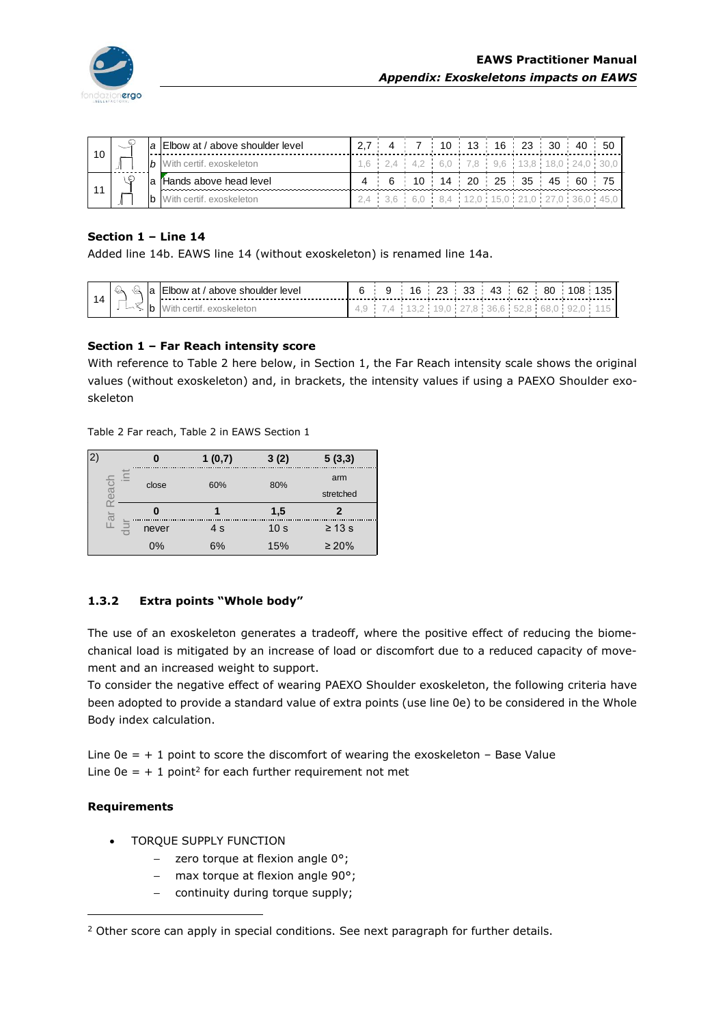

| 10 | $\sim$ | $\overline{a}$ | Elbow at / above shoulder level   | 27 |  | 4 7 10 13 16 23 30 40                    |  |  |  |
|----|--------|----------------|-----------------------------------|----|--|------------------------------------------|--|--|--|
|    |        |                | <b>b</b> With certif, exoskeleton |    |  | 1.6 2.4 4.2 6.0 7.8 9.6 13.8 18.0 24     |  |  |  |
|    |        |                | l'Hands above head level          |    |  | 4 6 10 14 20 25 35 45 60                 |  |  |  |
|    |        |                | With certif, exoskeleton          |    |  | 2.4 3.6 6.0 8.4 12.0 15.0 21.0 27.0 36.0 |  |  |  |

## **Section 1 – Line 14**

Added line 14b. EAWS line 14 (without exoskeleton) is renamed line 14a.

| ∾<br>v<br>ــ | ve.<br>______________________________ |     |        | w.     | ᠇ᡂ | c.<br>$\cdot$ | oι | $\sim$ $-$<br>້ |
|--------------|---------------------------------------|-----|--------|--------|----|---------------|----|-----------------|
| יי           |                                       | . . | $\sim$ | $\sim$ |    |               |    |                 |

## **Section 1 – Far Reach intensity score**

With reference to Table 2 here below, in Section 1, the Far Reach intensity scale shows the original values (without exoskeleton) and, in brackets, the intensity values if using a PAEXO Shoulder exoskeleton

Table 2 Far reach, Table 2 in EAWS Section 1

| 2 |  |       | 1(0,7) | 3(2)            | 5(3,3)      |  |
|---|--|-------|--------|-----------------|-------------|--|
|   |  | close | 60%    | 80%             | arm         |  |
|   |  |       |        |                 | stretched   |  |
|   |  |       |        |                 |             |  |
|   |  |       |        | 1,5             |             |  |
|   |  | never | 4 s    | 10 <sub>s</sub> | $\geq 13$ s |  |

# **1.3.2 Extra points "Whole body"**

The use of an exoskeleton generates a tradeoff, where the positive effect of reducing the biomechanical load is mitigated by an increase of load or discomfort due to a reduced capacity of movement and an increased weight to support.

To consider the negative effect of wearing PAEXO Shoulder exoskeleton, the following criteria have been adopted to provide a standard value of extra points (use line 0e) to be considered in the Whole Body index calculation.

Line  $0e = +1$  point to score the discomfort of wearing the exoskeleton – Base Value Line  $0e = + 1$  point<sup>2</sup> for each further requirement not met

## **Requirements**

- TORQUE SUPPLY FUNCTION
	- $-$  zero torque at flexion angle  $0^{\circ}$ ;
	- max torque at flexion angle  $90^\circ$ ;
	- continuity during torque supply;

<sup>&</sup>lt;sup>2</sup> Other score can apply in special conditions. See next paragraph for further details.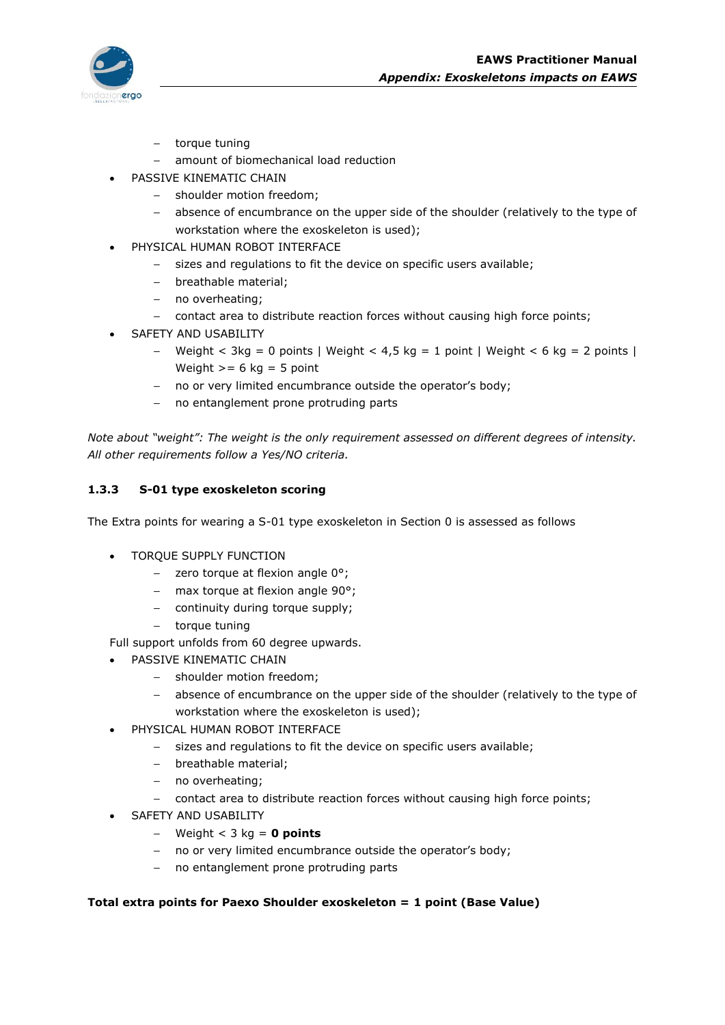

- torque tuning
- amount of biomechanical load reduction
- PASSIVE KINEMATIC CHAIN
	- shoulder motion freedom;
	- absence of encumbrance on the upper side of the shoulder (relatively to the type of workstation where the exoskeleton is used);
- PHYSICAL HUMAN ROBOT INTERFACE
	- sizes and regulations to fit the device on specific users available;
	- breathable material;
	- no overheating;
	- contact area to distribute reaction forces without causing high force points;
- SAFETY AND USABILITY
	- Weight < 3kg = 0 points | Weight < 4,5 kg = 1 point | Weight < 6 kg = 2 points | Weight  $>= 6$  kg = 5 point
	- no or very limited encumbrance outside the operator's body;
	- no entanglement prone protruding parts

*Note about "weight": The weight is the only requirement assessed on different degrees of intensity. All other requirements follow a Yes/NO criteria.*

## **1.3.3 S-01 type exoskeleton scoring**

The Extra points for wearing a S-01 type exoskeleton in Section 0 is assessed as follows

- TORQUE SUPPLY FUNCTION
	- $-$  zero torque at flexion angle  $0^{\circ}$ ;
	- max torque at flexion angle 90°;
	- continuity during torque supply;
	- torque tuning

Full support unfolds from 60 degree upwards.

- PASSIVE KINEMATIC CHAIN
	- shoulder motion freedom;
	- absence of encumbrance on the upper side of the shoulder (relatively to the type of workstation where the exoskeleton is used);
- PHYSICAL HUMAN ROBOT INTERFACE
	- sizes and regulations to fit the device on specific users available;
	- breathable material;
	- no overheating;
	- contact area to distribute reaction forces without causing high force points;
- SAFETY AND USABILITY
	- Weight < 3 kg = **0 points**
	- no or very limited encumbrance outside the operator's body;
	- no entanglement prone protruding parts

## **Total extra points for Paexo Shoulder exoskeleton = 1 point (Base Value)**